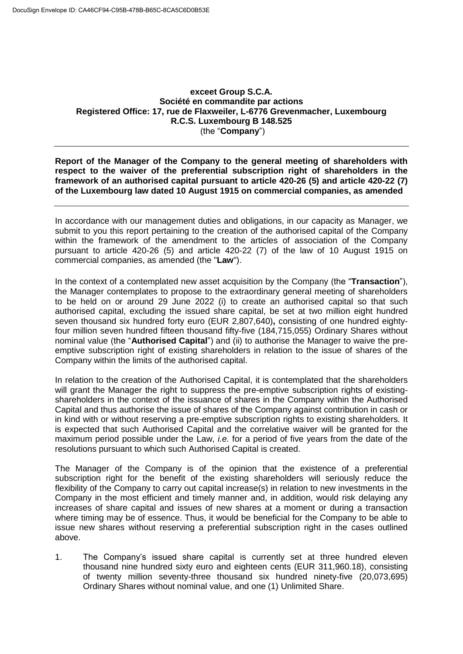## **exceet Group S.C.A. Société en commandite par actions Registered Office: 17, rue de Flaxweiler, L-6776 Grevenmacher, Luxembourg R.C.S. Luxembourg B 148.525** (the "**Company**")

**Report of the Manager of the Company to the general meeting of shareholders with respect to the waiver of the preferential subscription right of shareholders in the framework of an authorised capital pursuant to article 420-26 (5) and article 420-22 (7) of the Luxembourg law dated 10 August 1915 on commercial companies, as amended**

In accordance with our management duties and obligations, in our capacity as Manager, we submit to you this report pertaining to the creation of the authorised capital of the Company within the framework of the amendment to the articles of association of the Company pursuant to article 420-26 (5) and article 420-22 (7) of the law of 10 August 1915 on commercial companies, as amended (the "**Law**").

In the context of a contemplated new asset acquisition by the Company (the "**Transaction**"), the Manager contemplates to propose to the extraordinary general meeting of shareholders to be held on or around 29 June 2022 (i) to create an authorised capital so that such authorised capital, excluding the issued share capital, be set at two million eight hundred seven thousand six hundred forty euro (EUR 2,807,640)**,** consisting of one hundred eightyfour million seven hundred fifteen thousand fifty-five (184,715,055) Ordinary Shares without nominal value (the "**Authorised Capital**") and (ii) to authorise the Manager to waive the preemptive subscription right of existing shareholders in relation to the issue of shares of the Company within the limits of the authorised capital.

In relation to the creation of the Authorised Capital, it is contemplated that the shareholders will grant the Manager the right to suppress the pre-emptive subscription rights of existingshareholders in the context of the issuance of shares in the Company within the Authorised Capital and thus authorise the issue of shares of the Company against contribution in cash or in kind with or without reserving a pre-emptive subscription rights to existing shareholders. It is expected that such Authorised Capital and the correlative waiver will be granted for the maximum period possible under the Law, *i.e.* for a period of five years from the date of the resolutions pursuant to which such Authorised Capital is created.

The Manager of the Company is of the opinion that the existence of a preferential subscription right for the benefit of the existing shareholders will seriously reduce the flexibility of the Company to carry out capital increase(s) in relation to new investments in the Company in the most efficient and timely manner and, in addition, would risk delaying any increases of share capital and issues of new shares at a moment or during a transaction where timing may be of essence. Thus, it would be beneficial for the Company to be able to issue new shares without reserving a preferential subscription right in the cases outlined above.

1. The Company's issued share capital is currently set at three hundred eleven thousand nine hundred sixty euro and eighteen cents (EUR 311,960.18), consisting of twenty million seventy-three thousand six hundred ninety-five (20,073,695) Ordinary Shares without nominal value, and one (1) Unlimited Share.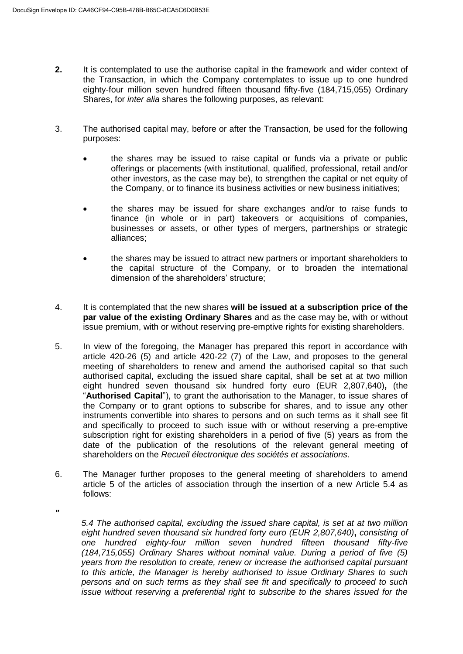*"* 

- **2.** It is contemplated to use the authorise capital in the framework and wider context of the Transaction, in which the Company contemplates to issue up to one hundred eighty-four million seven hundred fifteen thousand fifty-five (184,715,055) Ordinary Shares, for *inter alia* shares the following purposes, as relevant:
- 3. The authorised capital may, before or after the Transaction, be used for the following purposes:
	- the shares may be issued to raise capital or funds via a private or public offerings or placements (with institutional, qualified, professional, retail and/or other investors, as the case may be), to strengthen the capital or net equity of the Company, or to finance its business activities or new business initiatives;
	- the shares may be issued for share exchanges and/or to raise funds to finance (in whole or in part) takeovers or acquisitions of companies, businesses or assets, or other types of mergers, partnerships or strategic alliances;
	- the shares may be issued to attract new partners or important shareholders to the capital structure of the Company, or to broaden the international dimension of the shareholders' structure;
- 4. It is contemplated that the new shares **will be issued at a subscription price of the par value of the existing Ordinary Shares** and as the case may be, with or without issue premium, with or without reserving pre-emptive rights for existing shareholders.
- 5. In view of the foregoing, the Manager has prepared this report in accordance with article 420-26 (5) and article 420-22 (7) of the Law, and proposes to the general meeting of shareholders to renew and amend the authorised capital so that such authorised capital, excluding the issued share capital, shall be set at at two million eight hundred seven thousand six hundred forty euro (EUR 2,807,640)**,** (the "**Authorised Capital**"), to grant the authorisation to the Manager, to issue shares of the Company or to grant options to subscribe for shares, and to issue any other instruments convertible into shares to persons and on such terms as it shall see fit and specifically to proceed to such issue with or without reserving a pre-emptive subscription right for existing shareholders in a period of five (5) years as from the date of the publication of the resolutions of the relevant general meeting of shareholders on the *Recueil électronique des sociétés et associations*.
- 6. The Manager further proposes to the general meeting of shareholders to amend article 5 of the articles of association through the insertion of a new Article 5.4 as follows:
	- *5.4 The authorised capital, excluding the issued share capital, is set at at two million eight hundred seven thousand six hundred forty euro (EUR 2,807,640)***,** *consisting of one hundred eighty-four million seven hundred fifteen thousand fifty-five (184,715,055) Ordinary Shares without nominal value. During a period of five (5) years from the resolution to create, renew or increase the authorised capital pursuant to this article, the Manager is hereby authorised to issue Ordinary Shares to such persons and on such terms as they shall see fit and specifically to proceed to such issue without reserving a preferential right to subscribe to the shares issued for the*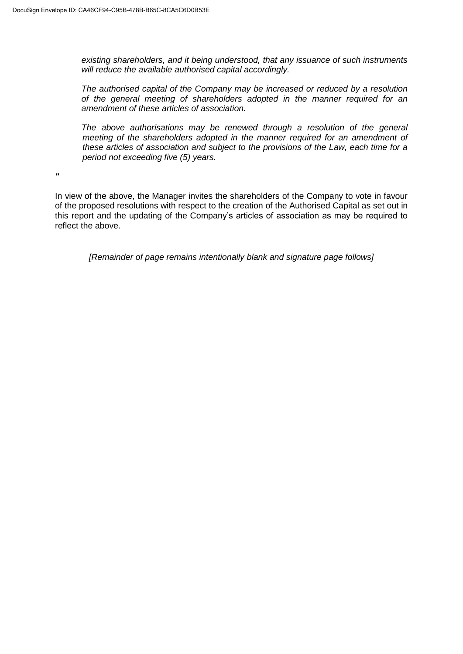*existing shareholders, and it being understood, that any issuance of such instruments will reduce the available authorised capital accordingly.* 

*The authorised capital of the Company may be increased or reduced by a resolution of the general meeting of shareholders adopted in the manner required for an amendment of these articles of association.*

*The above authorisations may be renewed through a resolution of the general meeting of the shareholders adopted in the manner required for an amendment of these articles of association and subject to the provisions of the Law, each time for a period not exceeding five (5) years.*

*"* 

In view of the above, the Manager invites the shareholders of the Company to vote in favour of the proposed resolutions with respect to the creation of the Authorised Capital as set out in this report and the updating of the Company's articles of association as may be required to reflect the above.

*[Remainder of page remains intentionally blank and signature page follows]*